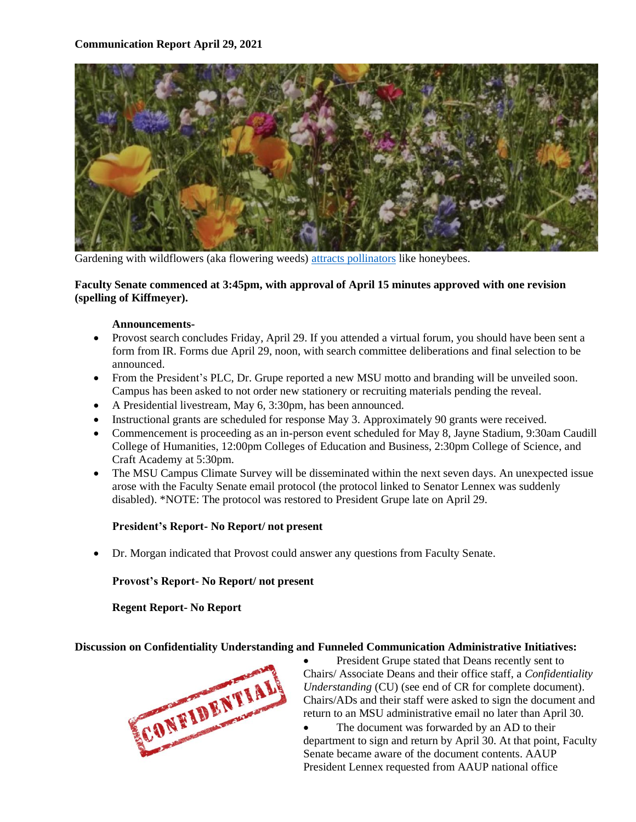

Gardening with wildflowers (aka flowering weeds) [attracts pollinators](https://lovelygreens.com/planting-honey-bee-friendly-garden/) like honeybees.

### **Faculty Senate commenced at 3:45pm, with approval of April 15 minutes approved with one revision (spelling of Kiffmeyer).**

#### **Announcements-**

- Provost search concludes Friday, April 29. If you attended a virtual forum, you should have been sent a form from IR. Forms due April 29, noon, with search committee deliberations and final selection to be announced.
- From the President's PLC, Dr. Grupe reported a new MSU motto and branding will be unveiled soon. Campus has been asked to not order new stationery or recruiting materials pending the reveal.
- A Presidential livestream, May 6, 3:30pm, has been announced.
- Instructional grants are scheduled for response May 3. Approximately 90 grants were received.
- Commencement is proceeding as an in-person event scheduled for May 8, Jayne Stadium, 9:30am Caudill College of Humanities, 12:00pm Colleges of Education and Business, 2:30pm College of Science, and Craft Academy at 5:30pm.
- The MSU Campus Climate Survey will be disseminated within the next seven days. An unexpected issue arose with the Faculty Senate email protocol (the protocol linked to Senator Lennex was suddenly disabled). \*NOTE: The protocol was restored to President Grupe late on April 29.

#### **President's Report- No Report/ not present**

• Dr. Morgan indicated that Provost could answer any questions from Faculty Senate.

#### **Provost's Report- No Report/ not present**

**Regent Report- No Report**

#### **Discussion on Confidentiality Understanding and Funneled Communication Administrative Initiatives:**



President Grupe stated that Deans recently sent to Chairs/ Associate Deans and their office staff, a *Confidentiality Understanding* (CU) (see end of CR for complete document). Chairs/ADs and their staff were asked to sign the document and return to an MSU administrative email no later than April 30.

The document was forwarded by an AD to their department to sign and return by April 30. At that point, Faculty Senate became aware of the document contents. AAUP President Lennex requested from AAUP national office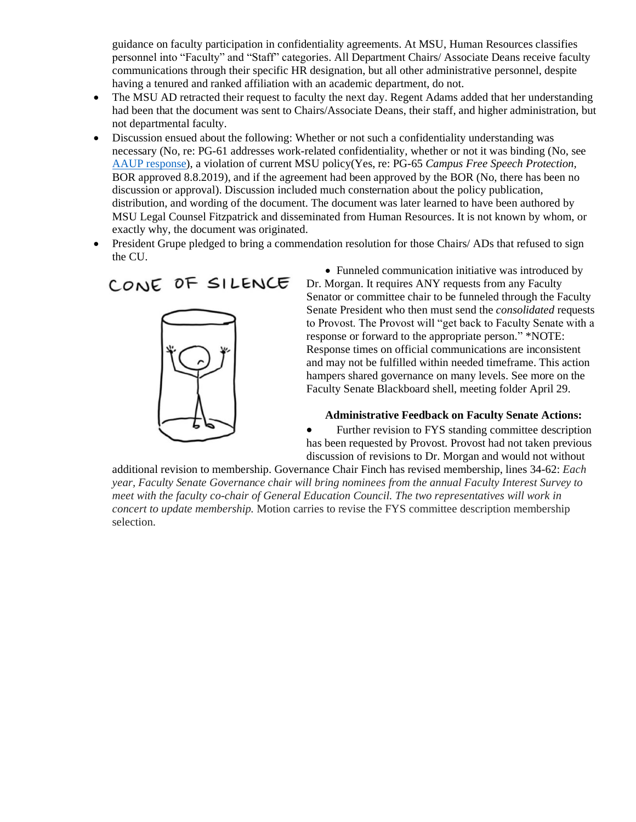guidance on faculty participation in confidentiality agreements. At MSU, Human Resources classifies personnel into "Faculty" and "Staff" categories. All Department Chairs/ Associate Deans receive faculty communications through their specific HR designation, but all other administrative personnel, despite having a tenured and ranked affiliation with an academic department, do not.

- The MSU AD retracted their request to faculty the next day. Regent Adams added that her understanding had been that the document was sent to Chairs/Associate Deans, their staff, and higher administration, but not departmental faculty.
- Discussion ensued about the following: Whether or not such a confidentiality understanding was necessary (No, re: PG-61 addresses work-related confidentiality, whether or not it was binding (No, see AAUP [response\)](https://www.aaup.org/report/confidentiality-and-governance), a violation of current MSU policy(Yes, re: PG-65 *Campus Free Speech Protection,*  BOR approved 8.8.2019), and if the agreement had been approved by the BOR (No, there has been no discussion or approval). Discussion included much consternation about the policy publication, distribution, and wording of the document. The document was later learned to have been authored by MSU Legal Counsel Fitzpatrick and disseminated from Human Resources. It is not known by whom, or exactly why, the document was originated.
- President Grupe pledged to bring a commendation resolution for those Chairs/ ADs that refused to sign the CU.

# CONE OF SILENCE



• Funneled communication initiative was introduced by Dr. Morgan. It requires ANY requests from any Faculty Senator or committee chair to be funneled through the Faculty Senate President who then must send the *consolidated* requests to Provost. The Provost will "get back to Faculty Senate with a response or forward to the appropriate person." \*NOTE: Response times on official communications are inconsistent and may not be fulfilled within needed timeframe. This action hampers shared governance on many levels. See more on the Faculty Senate Blackboard shell, meeting folder April 29.

**Administrative Feedback on Faculty Senate Actions:**

• Further revision to FYS standing committee description has been requested by Provost. Provost had not taken previous discussion of revisions to Dr. Morgan and would not without

additional revision to membership. Governance Chair Finch has revised membership, lines 34-62: *Each year, Faculty Senate Governance chair will bring nominees from the annual Faculty Interest Survey to meet with the faculty co-chair of General Education Council. The two representatives will work in concert to update membership.* Motion carries to revise the FYS committee description membership selection.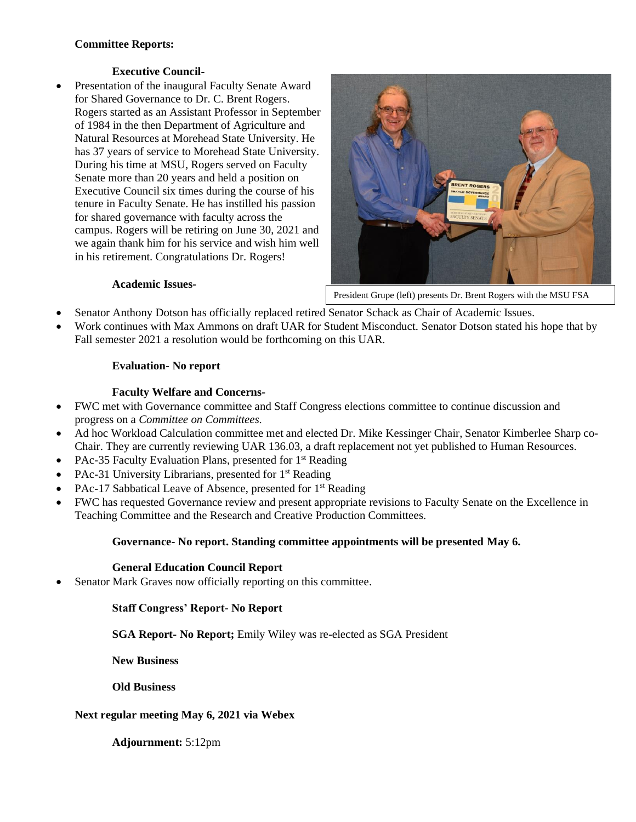# **Committee Reports:**

# **Executive Council-**

Presentation of the inaugural Faculty Senate Award for Shared Governance to Dr. C. Brent Rogers. Rogers started as an Assistant Professor in September of 1984 in the then Department of Agriculture and Natural Resources at Morehead State University. He has 37 years of service to Morehead State University. During his time at MSU, Rogers served on Faculty Senate more than 20 years and held a position on Executive Council six times during the course of his tenure in Faculty Senate. He has instilled his passion for shared governance with faculty across the campus. Rogers will be retiring on June 30, 2021 and we again thank him for his service and wish him well in his retirement. Congratulations Dr. Rogers!



President Grupe (left) presents Dr. Brent Rogers with the MSU FSA

#### **Academic Issues-**

- Senator Anthony Dotson has officially replaced retired Senator Schack as Chair of Academic Issues.
- Work continues with Max Ammons on draft UAR for Student Misconduct. Senator Dotson stated his hope that by Fall semester 2021 a resolution would be forthcoming on this UAR.

# **Evaluation- No report**

# **Faculty Welfare and Concerns-**

- FWC met with Governance committee and Staff Congress elections committee to continue discussion and progress on a *Committee on Committees.*
- Ad hoc Workload Calculation committee met and elected Dr. Mike Kessinger Chair, Senator Kimberlee Sharp co-Chair. They are currently reviewing UAR 136.03, a draft replacement not yet published to Human Resources.
- PAc-35 Faculty Evaluation Plans, presented for 1<sup>st</sup> Reading
- PAc-31 University Librarians, presented for 1<sup>st</sup> Reading
- PAc-17 Sabbatical Leave of Absence, presented for 1<sup>st</sup> Reading
- FWC has requested Governance review and present appropriate revisions to Faculty Senate on the Excellence in Teaching Committee and the Research and Creative Production Committees.

# **Governance- No report. Standing committee appointments will be presented May 6.**

#### **General Education Council Report**

• Senator Mark Graves now officially reporting on this committee*.* 

# **Staff Congress' Report- No Report**

**SGA Report- No Report;** Emily Wiley was re-elected as SGA President

**New Business** 

**Old Business**

#### **Next regular meeting May 6, 2021 via Webex**

**Adjournment:** 5:12pm